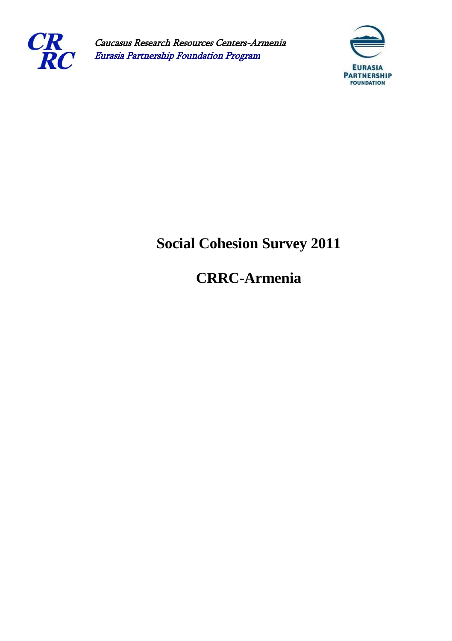

Caucasus Research Resources Centers-Armenia Eurasia Partnership Foundation Program



## **Social Cohesion Survey 2011**

## **CRRC-Armenia**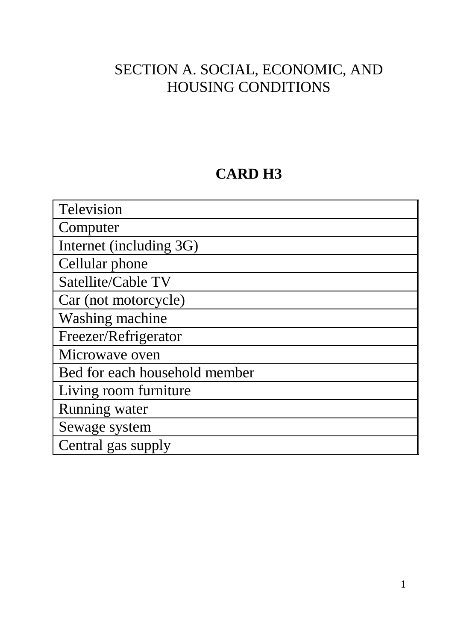#### SECTION A. SOCIAL, ECONOMIC, AND HOUSING CONDITIONS

#### **CARD H3**

| Television                    |
|-------------------------------|
| Computer                      |
| Internet (including 3G)       |
| Cellular phone                |
| Satellite/Cable TV            |
| Car (not motorcycle)          |
| Washing machine               |
| Freezer/Refrigerator          |
| Microwave oven                |
| Bed for each household member |
| Living room furniture         |
| Running water                 |
| Sewage system                 |
| Central gas supply            |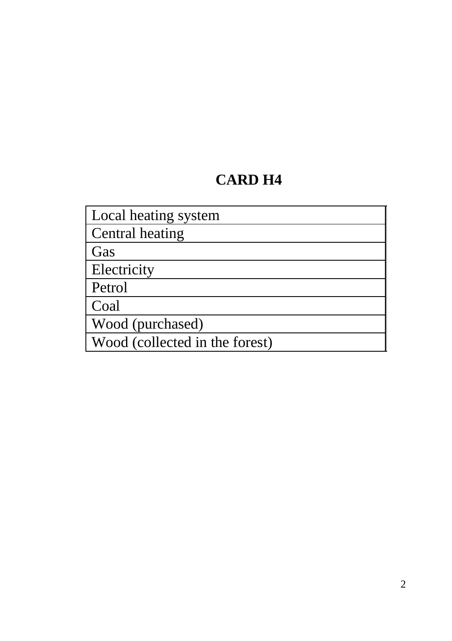#### **CARD H4**

Local heating system Central heating Gas Electricity Petrol Coal Wood (purchased) Wood (collected in the forest)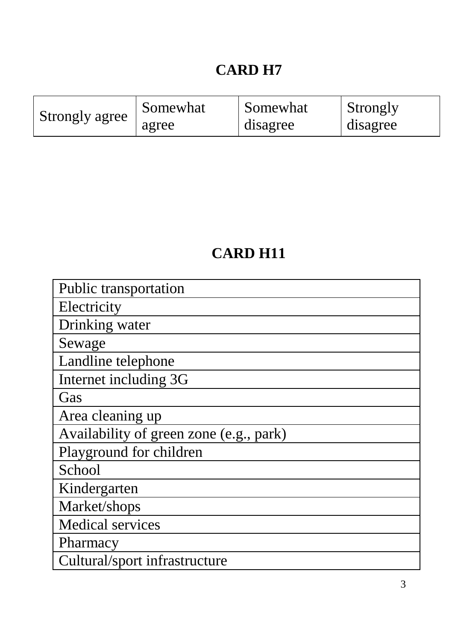### **CARD H7**

|                | Somewhat | Somewhat | <b>Strongly</b> |
|----------------|----------|----------|-----------------|
| Strongly agree | agree    | disagree | disagree        |

#### **CARD H11**

| Public transportation                   |
|-----------------------------------------|
| Electricity                             |
| Drinking water                          |
| Sewage                                  |
| Landline telephone                      |
| Internet including 3G                   |
| Gas                                     |
| Area cleaning up                        |
| Availability of green zone (e.g., park) |
| Playground for children                 |
| School                                  |
| Kindergarten                            |
| Market/shops                            |
| <b>Medical services</b>                 |
| Pharmacy                                |
| Cultural/sport infrastructure           |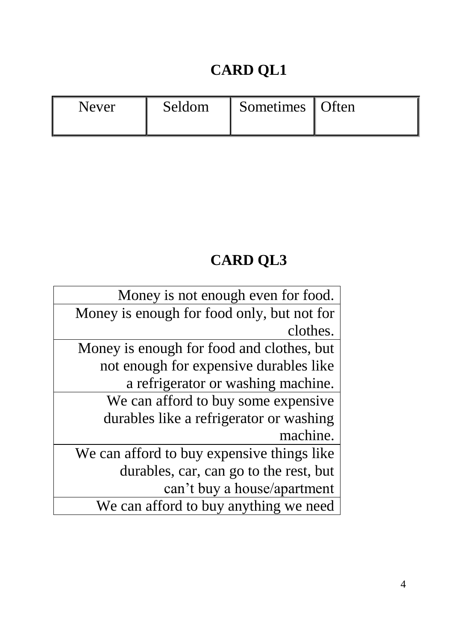# **CARD QL1**

| Never | <b>Seldom</b> | Sometimes   Often |  |
|-------|---------------|-------------------|--|
|-------|---------------|-------------------|--|

# **CARD QL3**

| Money is not enough even for food.         |
|--------------------------------------------|
| Money is enough for food only, but not for |
| clothes.                                   |
| Money is enough for food and clothes, but  |
| not enough for expensive durables like     |
| a refrigerator or washing machine.         |
| We can afford to buy some expensive.       |
| durables like a refrigerator or washing    |
| machine.                                   |
| We can afford to buy expensive things like |
| durables, car, can go to the rest, but     |
| can't buy a house/apartment                |
| We can afford to buy anything we need      |
|                                            |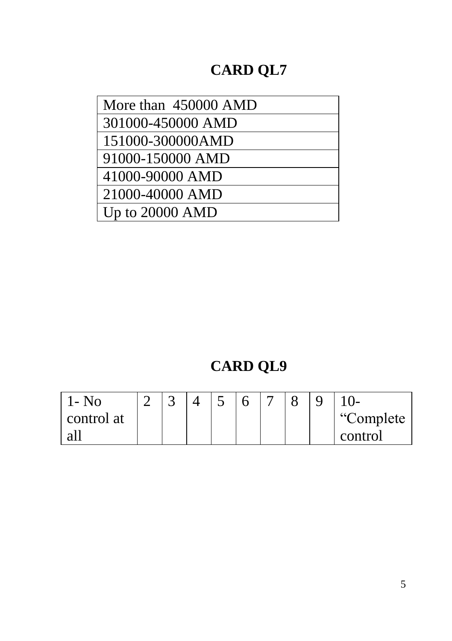# **CARD QL7**

| More than 450000 AMD |
|----------------------|
| 301000-450000 AMD    |
| 151000-300000AMD     |
| 91000-150000 AMD     |
| 41000-90000 AMD      |
| 21000-40000 AMD      |
| Up to 20000 AMD      |

# **CARD QL9**

| 1- No      | $\overline{\phantom{0}}$ |  |  |  |            |
|------------|--------------------------|--|--|--|------------|
| control at |                          |  |  |  | "Complete" |
| a1         |                          |  |  |  | control    |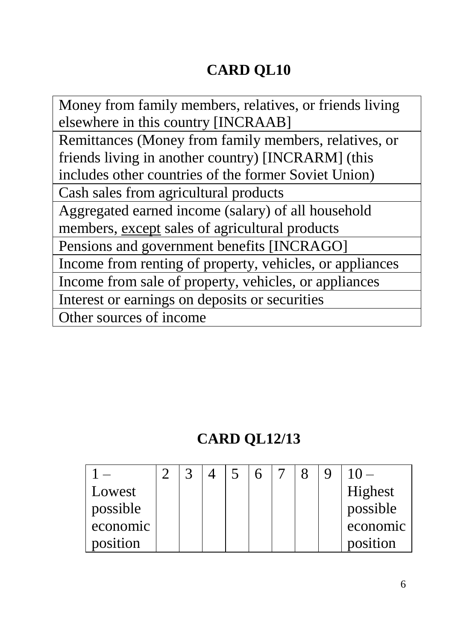# **CARD QL10**

Money from family members, relatives, or friends living elsewhere in this country [INCRAAB] Remittances (Money from family members, relatives, or friends living in another country) [INCRARM] (this includes other countries of the former Soviet Union) Cash sales from agricultural products Aggregated earned income (salary) of all household members, except sales of agricultural products Pensions and government benefits [INCRAGO] Income from renting of property, vehicles, or appliances Income from sale of property, vehicles, or appliances Interest or earnings on deposits or securities Other sources of income

#### **CARD QL12/13**

| Lowest   |  |  |  |  | Highest  |
|----------|--|--|--|--|----------|
| possible |  |  |  |  | possible |
| economic |  |  |  |  | economic |
| position |  |  |  |  | position |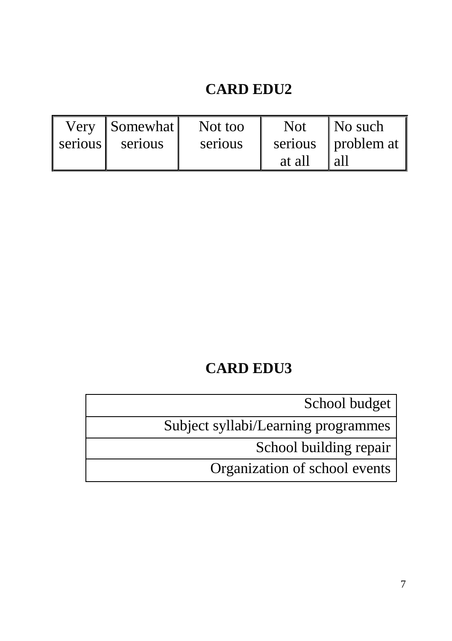#### **CARD EDU2**

|         | Very Somewhat | Not too | <b>Not</b> | No such              |
|---------|---------------|---------|------------|----------------------|
| serious | serious       | serious |            | serious   problem at |
|         |               |         | at all     | l all                |

#### **CARD EDU3**

School budget

Subject syllabi/Learning programmes

School building repair

Organization of school events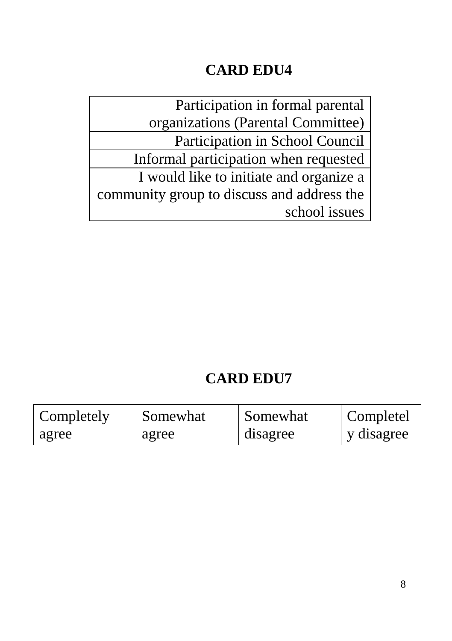#### **CARD EDU4**

Participation in formal parental organizations (Parental Committee) Participation in School Council Informal participation when requested I would like to initiate and organize a community group to discuss and address the school issues

#### **CARD EDU7**

| Completely | Somewhat | Somewhat | Completel  |
|------------|----------|----------|------------|
| agree      | agree    | disagree | y disagree |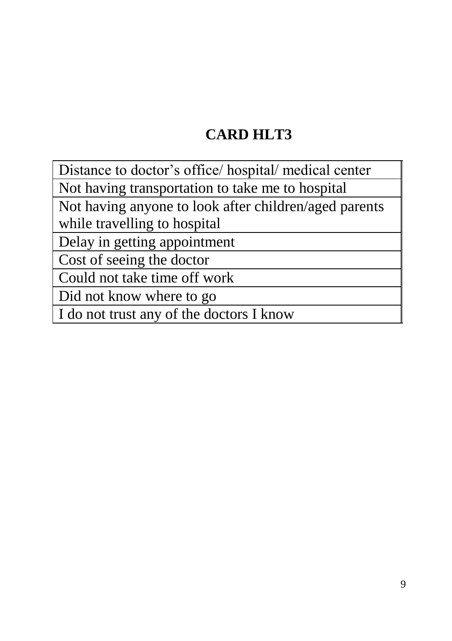#### **CARD HLT3**

Distance to doctor's office/ hospital/ medical center Not having transportation to take me to hospital Not having anyone to look after children/aged parents

while travelling to hospital

Delay in getting appointment

Cost of seeing the doctor

Could not take time off work

Did not know where to go

I do not trust any of the doctors I know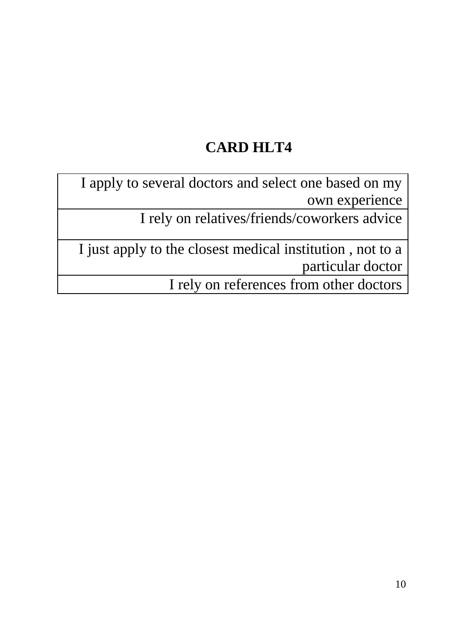### **CARD HLT4**

I apply to several doctors and select one based on my own experience

I rely on relatives/friends/coworkers advice

I just apply to the closest medical institution , not to a particular doctor

I rely on references from other doctors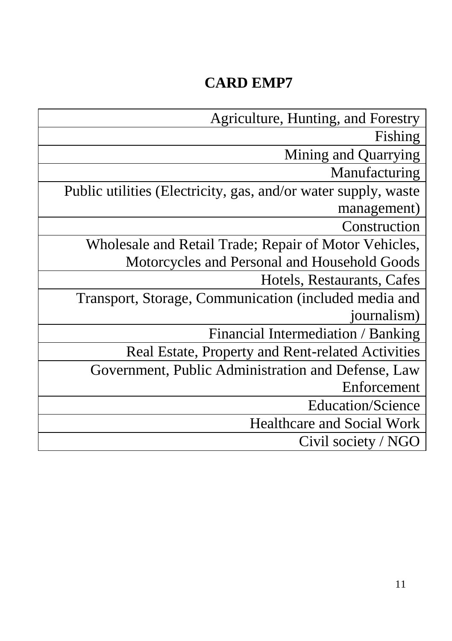## **CARD EMP7**

| Agriculture, Hunting, and Forestry                              |
|-----------------------------------------------------------------|
| Fishing                                                         |
| Mining and Quarrying                                            |
| Manufacturing                                                   |
| Public utilities (Electricity, gas, and/or water supply, waster |
| management)                                                     |
| Construction                                                    |
| Wholesale and Retail Trade; Repair of Motor Vehicles,           |
| Motorcycles and Personal and Household Goods                    |
| Hotels, Restaurants, Cafes                                      |
| Transport, Storage, Communication (included media and           |
| journalism)                                                     |
| Financial Intermediation / Banking                              |
| Real Estate, Property and Rent-related Activities               |
| Government, Public Administration and Defense, Law              |
| Enforcement                                                     |
| <b>Education/Science</b>                                        |
| <b>Healthcare and Social Work</b>                               |
| Civil society / NGO                                             |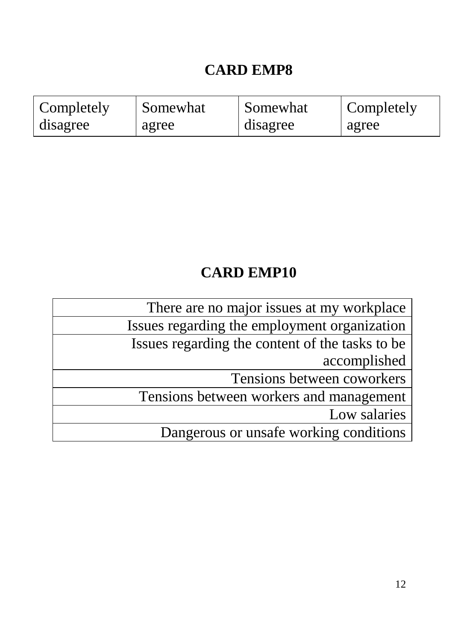## **CARD EMP8**

| Completely | Somewhat | Somewhat | Completely |
|------------|----------|----------|------------|
| disagree   | agree    | disagree | agree      |

### **CARD EMP10**

| There are no major issues at my workplace        |
|--------------------------------------------------|
| Issues regarding the employment organization     |
| Issues regarding the content of the tasks to be. |
| accomplished                                     |
| Tensions between coworkers                       |
| Tensions between workers and management          |
| Low salaries                                     |
| Dangerous or unsafe working conditions           |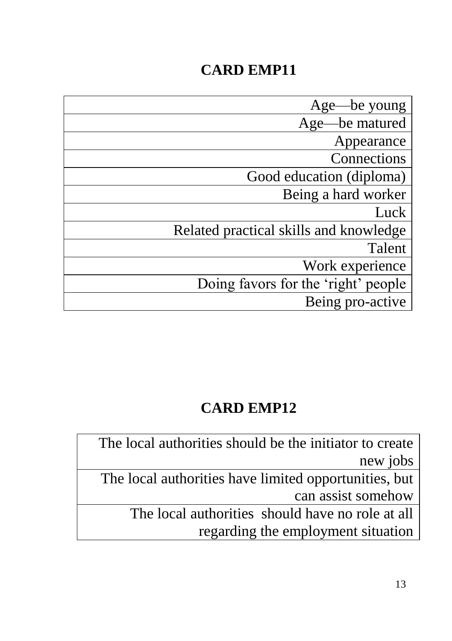## **CARD EMP11**

| Age—be young                           |
|----------------------------------------|
| Age—be matured                         |
| Appearance                             |
| Connections                            |
| Good education (diploma)               |
| Being a hard worker                    |
| Luck                                   |
| Related practical skills and knowledge |
| Talent                                 |
| Work experience                        |
| Doing favors for the 'right' people    |
| Being pro-active                       |

#### **CARD EMP12**

The local authorities should be the initiator to create new jobs

The local authorities have limited opportunities, but can assist somehow

The local authorities should have no role at all regarding the employment situation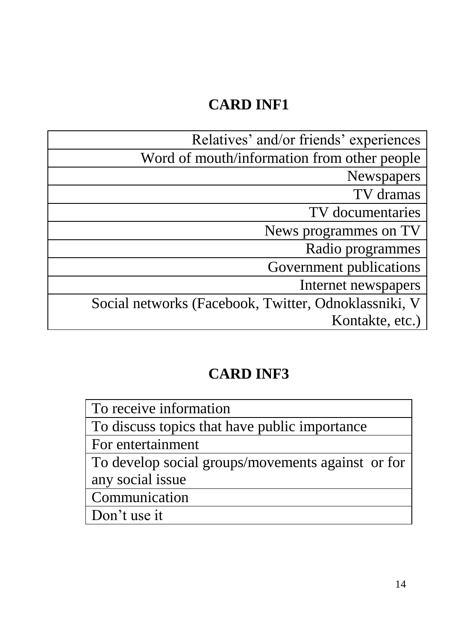### **CARD INF1**

| Relatives' and/or friends' experiences               |
|------------------------------------------------------|
| Word of mouth/information from other people          |
| <b>Newspapers</b>                                    |
| TV dramas                                            |
| TV documentaries                                     |
| News programmes on TV                                |
| Radio programmes                                     |
| Government publications                              |
| Internet newspapers                                  |
| Social networks (Facebook, Twitter, Odnoklassniki, V |
| Kontakte, etc.)                                      |

# **CARD INF3**

| To receive information                            |
|---------------------------------------------------|
| To discuss topics that have public importance     |
| For entertainment                                 |
| To develop social groups/movements against or for |
| any social issue                                  |
| Communication                                     |
| Don't use it                                      |
|                                                   |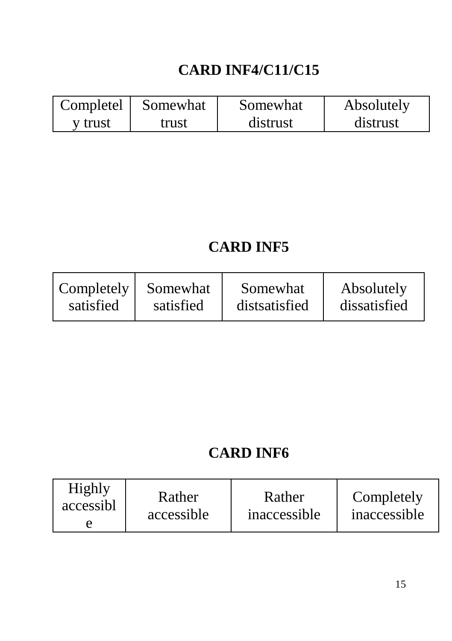## **CARD INF4/C11/C15**

| Completely | Somewhat | Somewhat | Absolutely |
|------------|----------|----------|------------|
| y trust    | trust    | distrust | distrust   |

#### **CARD INF5**

| $\vert$ Completely $\vert$ | Somewhat  | Somewhat      | Absolutely   |
|----------------------------|-----------|---------------|--------------|
| satisfied                  | satisfied | distratisfied | dissatisfied |

### **CARD INF6**

| Highly<br>Rather<br>accessibl<br>accessible | Rather<br>inaccessible | Completely<br>inaccessible |
|---------------------------------------------|------------------------|----------------------------|
|---------------------------------------------|------------------------|----------------------------|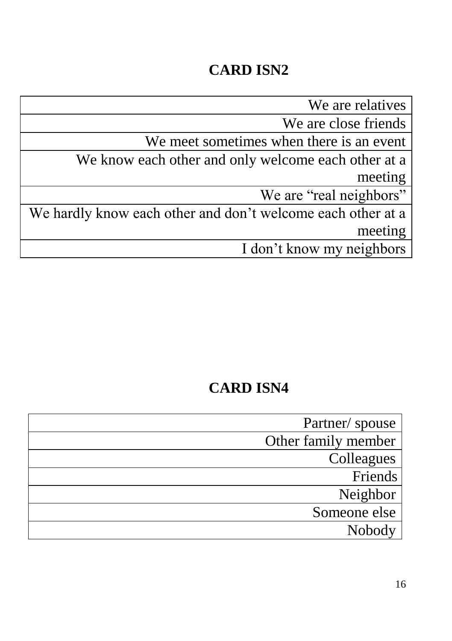We are relatives

We are close friends

We meet sometimes when there is an event

We know each other and only welcome each other at a meeting

We are "real neighbors"

We hardly know each other and don't welcome each other at a meeting

I don't know my neighbors

| Partner/ spouse     |
|---------------------|
| Other family member |
| Colleagues          |
| Friends             |
| Neighbor            |
| Someone else        |
| Nobody              |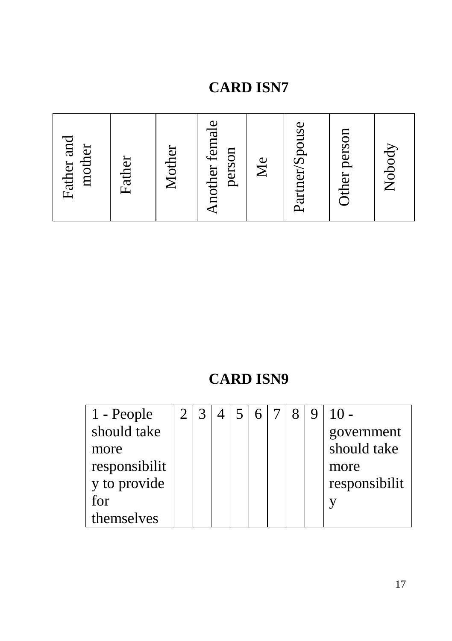| Father and<br>mother | Father | Mother | Another female<br>person | $\mathbb{N}_{\mathsf{C}}$ | Partner/Spouse | Other person | Nobody |
|----------------------|--------|--------|--------------------------|---------------------------|----------------|--------------|--------|
|----------------------|--------|--------|--------------------------|---------------------------|----------------|--------------|--------|

| 1 - People    |  |  |  | 8 | 9 | $10 -$        |
|---------------|--|--|--|---|---|---------------|
| should take   |  |  |  |   |   | government    |
| more          |  |  |  |   |   | should take   |
| responsibilit |  |  |  |   |   | more          |
| y to provide  |  |  |  |   |   | responsibilit |
| for           |  |  |  |   |   |               |
| themselves    |  |  |  |   |   |               |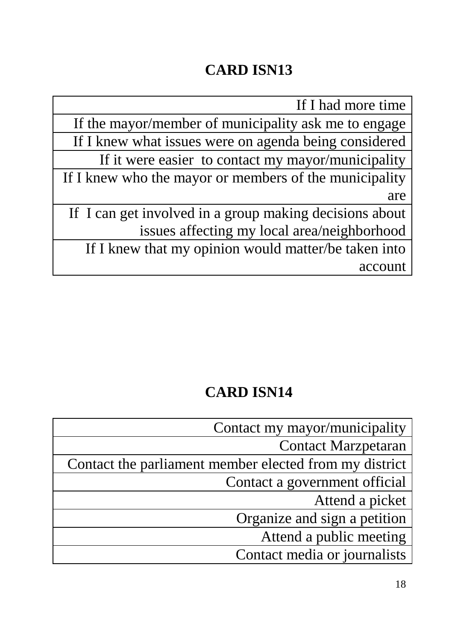If I had more time If the mayor/member of municipality ask me to engage If I knew what issues were on agenda being considered If it were easier to contact my mayor/municipality If I knew who the mayor or members of the municipality are If I can get involved in a group making decisions about issues affecting my local area/neighborhood If I knew that my opinion would matter/be taken into account

| Contact my mayor/municipality                          |
|--------------------------------------------------------|
| <b>Contact Marzpetaran</b>                             |
| Contact the parliament member elected from my district |
| Contact a government official                          |
| Attend a picket                                        |
| Organize and sign a petition                           |
| Attend a public meeting                                |
| Contact media or journalists                           |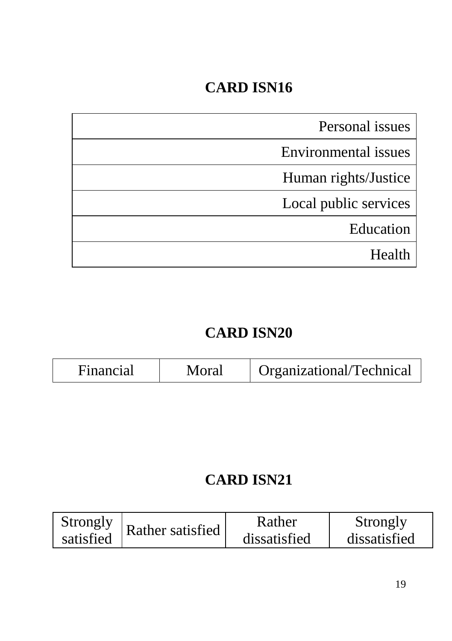| Personal issues       |
|-----------------------|
| Environmental issues  |
| Human rights/Justice  |
| Local public services |
| Education             |
| Health                |

# **CARD ISN20**

| Financial | Moral | Organizational/Technical |
|-----------|-------|--------------------------|

| Strongly  | Rather satisfied | Rather       | Strongly     |
|-----------|------------------|--------------|--------------|
| satisfied |                  | dissatisfied | dissatisfied |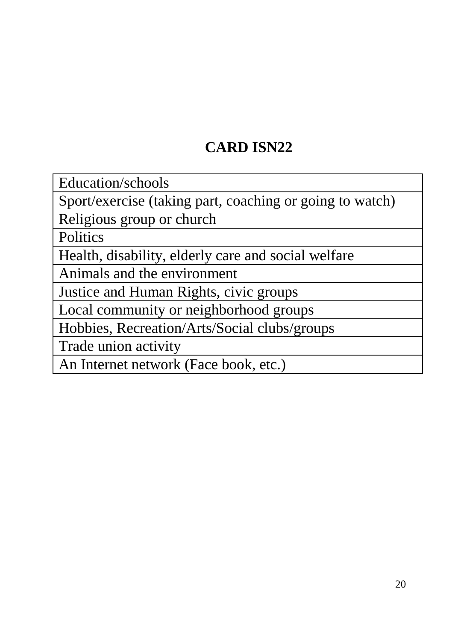Education/schools

Sport/exercise (taking part, coaching or going to watch)

Religious group or church

**Politics** 

Health, disability, elderly care and social welfare

Animals and the environment

Justice and Human Rights, civic groups

Local community or neighborhood groups

Hobbies, Recreation/Arts/Social clubs/groups

Trade union activity

An Internet network (Face book, etc.)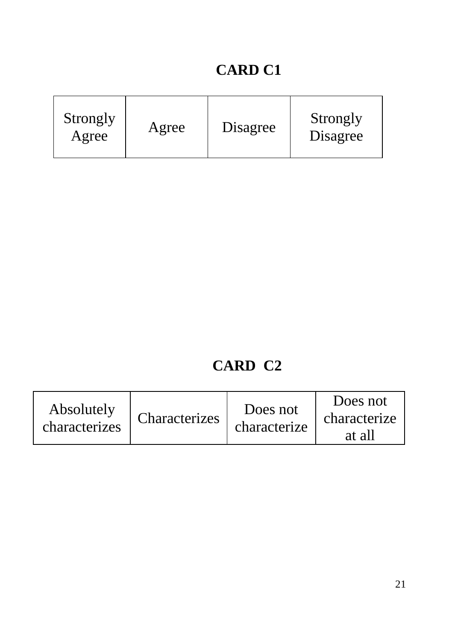| Strongly<br>Agree | Agree | Disagree | Strongly<br>Disagree |
|-------------------|-------|----------|----------------------|
|-------------------|-------|----------|----------------------|

| Absolutely<br>characterizes | Characterizes <sup>1</sup> | Does not<br>characterize | Does not<br>characterize<br>at all |
|-----------------------------|----------------------------|--------------------------|------------------------------------|
|-----------------------------|----------------------------|--------------------------|------------------------------------|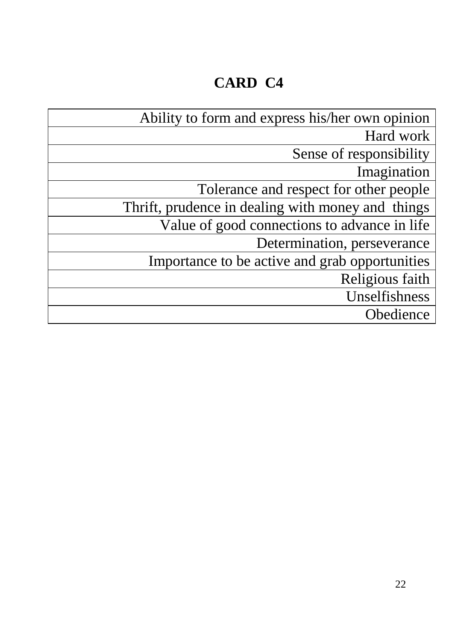| Ability to form and express his/her own opinion   |
|---------------------------------------------------|
| Hard work                                         |
| Sense of responsibility                           |
| Imagination                                       |
| Tolerance and respect for other people            |
| Thrift, prudence in dealing with money and things |
| Value of good connections to advance in life      |
| Determination, perseverance                       |
| Importance to be active and grab opportunities    |
| Religious faith                                   |
| Unselfishness                                     |
| Obedience                                         |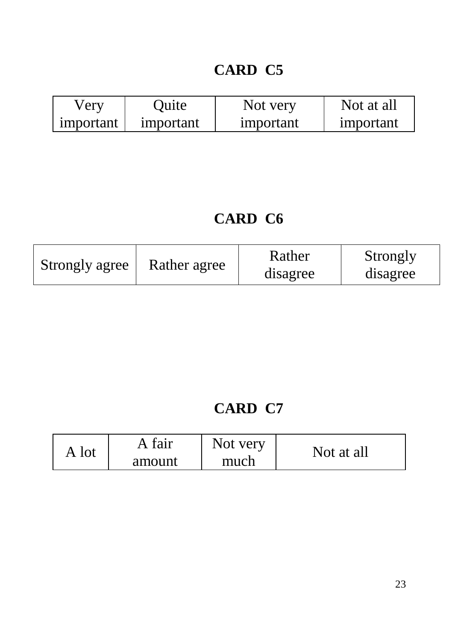| very      | Ouite     | Not very  | Not at all |
|-----------|-----------|-----------|------------|
| important | important | important | important  |

#### **CARD C6**

| Strongly agree | Rather agree | Rather<br>disagree | Strongly<br>disagree |
|----------------|--------------|--------------------|----------------------|
|----------------|--------------|--------------------|----------------------|

|       | A fair | Not very | Not at all |
|-------|--------|----------|------------|
| A lot | amount | much     |            |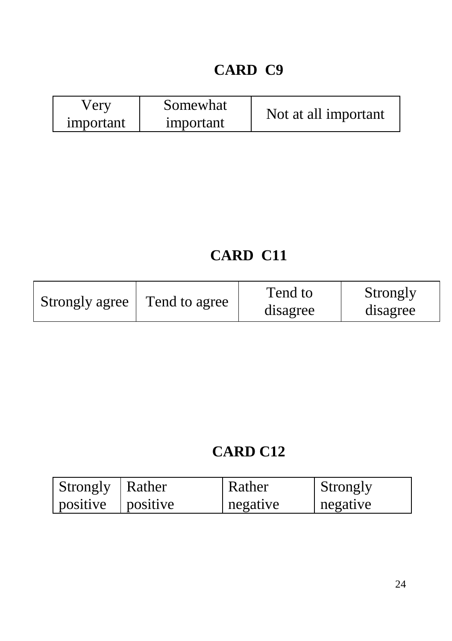| Very      | Somewhat  |                      |
|-----------|-----------|----------------------|
| important | important | Not at all important |

#### **CARD C11**

| Strongly agree | Tend to agree | Tend to<br>disagree | Strongly<br>disagree |
|----------------|---------------|---------------------|----------------------|
|----------------|---------------|---------------------|----------------------|

| Strongly   Rather         | Rather   | Strongly |
|---------------------------|----------|----------|
| $ $ positive $ $ positive | negative | negative |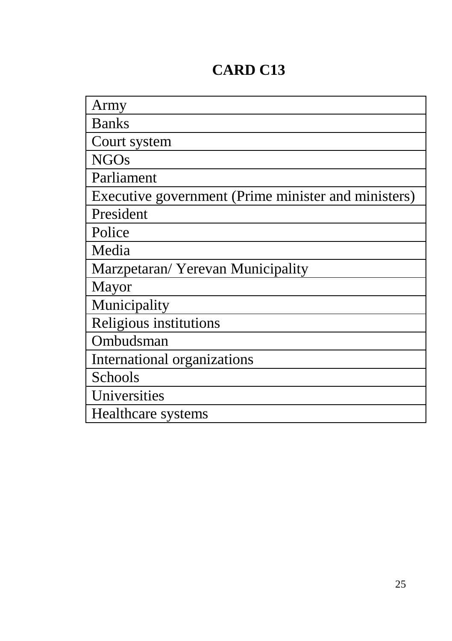| Army                                                |
|-----------------------------------------------------|
| <b>Banks</b>                                        |
| Court system                                        |
| <b>NGOs</b>                                         |
| Parliament                                          |
| Executive government (Prime minister and ministers) |
| President                                           |
| Police                                              |
| Media                                               |
| Marzpetaran/ Yerevan Municipality                   |
| Mayor                                               |
| Municipality                                        |
| Religious institutions                              |
| Ombudsman                                           |
| International organizations                         |
| Schools                                             |
| Universities                                        |
| Healthcare systems                                  |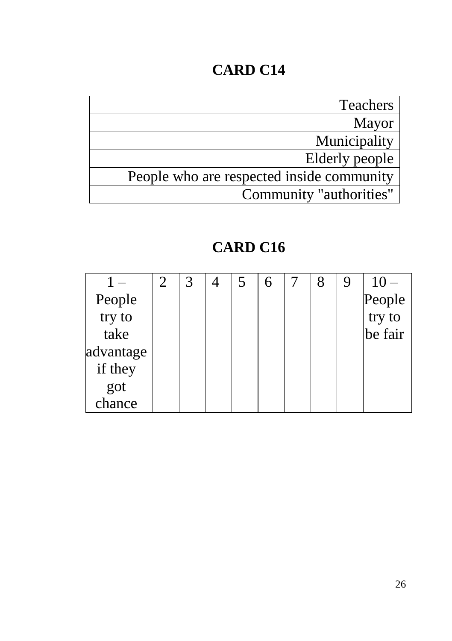| <b>Teachers</b>                           |
|-------------------------------------------|
| Mayor                                     |
| Municipality                              |
| Elderly people                            |
| People who are respected inside community |
| Community "authorities"                   |

|               | 2 | 3 | 4 | $\overline{5}$ | 6 | 8 | 9 | $10 -$           |
|---------------|---|---|---|----------------|---|---|---|------------------|
| People        |   |   |   |                |   |   |   | People<br>try to |
| try to        |   |   |   |                |   |   |   |                  |
| take          |   |   |   |                |   |   |   | be fair          |
| advantage     |   |   |   |                |   |   |   |                  |
| if they       |   |   |   |                |   |   |   |                  |
| got<br>chance |   |   |   |                |   |   |   |                  |
|               |   |   |   |                |   |   |   |                  |